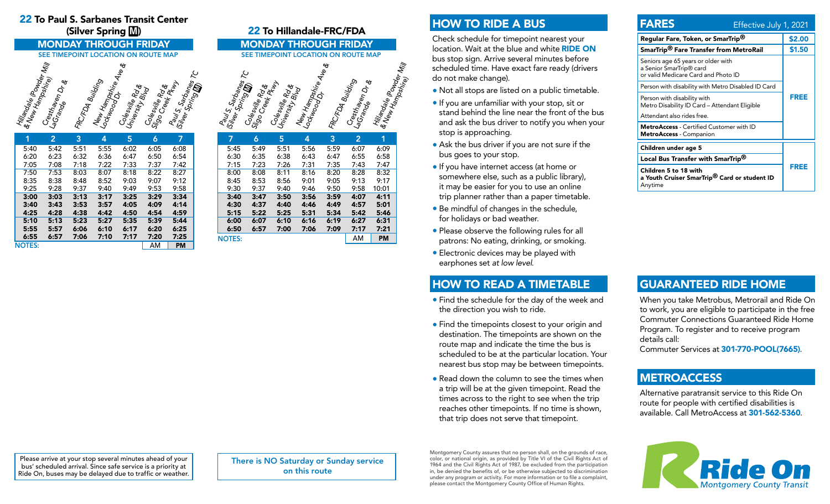# 22 To Paul S. Sarbanes Transit Center

#### Hillandale (Powder Mill<br><sup>Q. New Hampshirder</sup> Mill<br>C<sup>res</sup>ts, Cresthaven Dr &<br>LaGranden Dr & FRC/FDA Building New Hampshirg<br>Lockwood Dr<sup>ive</sup> Ave &<br>Cock Colesville Rd &<br>Universitie Rd &<br>Collection Coleswille Rd<br>Sigo Creek Rd &<br>Pauls Creek Pkw<br>Collus C Paul S. Sarbanes<br><sup>(Silver</sup> Sarbanes TC<br><sup>Mice</sup> Spring **M**is TC

| 1             | 2    | 3    | 4    | 5    | 6    | 7         |
|---------------|------|------|------|------|------|-----------|
| 5:40          | 5:42 | 5:51 | 5:55 | 6:02 | 6:05 | 6:08      |
| 6:20          | 6:23 | 6:32 | 6:36 | 6:47 | 6:50 | 6:54      |
| 7:05          | 7:08 | 7:18 | 7:22 | 7:33 | 7:37 | 7:42      |
| 7:50          | 7:53 | 8:03 | 8:07 | 8:18 | 8:22 | 8:27      |
| 8:35          | 8:38 | 8:48 | 8:52 | 9:03 | 9:07 | 9:12      |
| 9:25          | 9:28 | 9:37 | 9:40 | 9:49 | 9:53 | 9:58      |
| 3:00          | 3:03 | 3:13 | 3:17 | 3:25 | 3:29 | 3:34      |
| 3:40          | 3:43 | 3:53 | 3:57 | 4:05 | 4:09 | 4:14      |
| 4:25          | 4:28 | 4:38 | 4:42 | 4:50 | 4:54 | 4:59      |
| 5:10          | 5:13 | 5:23 | 5:27 | 5:35 | 5:39 | 5:44      |
| 5:55          | 5:57 | 6:06 | 6:10 | 6:17 | 6:20 | 6:25      |
| 6:55          | 6:57 | 7:06 | 7:10 | 7:17 | 7:20 | 7:25      |
| <b>NOTES:</b> |      |      |      |      | AM   | <b>PM</b> |

### (Silver Spring M) 22 To Hillandale-FRC/FDA **MONDAY THROUGH FRIDAY MONDAY THROUGH FRIDAY**<br>SEE TIMEPOINT LOCATION ON ROUTE MAP SEE TIMEPOINT LOCATION ON ROUTE MAP Hillandale (Powder Mill<br><sup>& New Hampshirder</sup> Mill Cr<sub>esthaven Dr &</sub><br>LaGratiaven Dr &<br><sup>LaGra</sup>nde FRC/FDA Building New Hampshire<br><sup>Lockwood Dr</sub>ine Av<sub>e &</sub><br>.</sup> Colesville Ruy<br>Universitie Role<br>Norsity Blvd Coleswille Rd &<br>Sigo Creek Pkw<br>Coleswille Rd & Paul S. Sarbanes<br><sup>(Silver</sup> Spring mes TC<br>Coles

|               | - ,  |      |      |      |                | ັ         |
|---------------|------|------|------|------|----------------|-----------|
| 7             | 6    | 5    | 4    | 3    | $\overline{2}$ | 1         |
| 5:45          | 5:49 | 5:51 | 5:56 | 5:59 | 6:07           | 6:09      |
| 6:30          | 6:35 | 6:38 | 6:43 | 6:47 | 6:55           | 6:58      |
| 7:15          | 7:23 | 7:26 | 7:31 | 7:35 | 7:43           | 7:47      |
| 8:00          | 8:08 | 8:11 | 8:16 | 8:20 | 8:28           | 8:32      |
| 8:45          | 8:53 | 8:56 | 9:01 | 9:05 | 9:13           | 9:17      |
| 9:30          | 9:37 | 9:40 | 9:46 | 9:50 | 9:58           | 10:01     |
| 3:40          | 3:47 | 3:50 | 3:56 | 3:59 | 4:07           | 4:11      |
| 4:30          | 4:37 | 4:40 | 4:46 | 4:49 | 4:57           | 5:01      |
| 5:15          | 5:22 | 5:25 | 5:31 | 5:34 | 5:42           | 5:46      |
| 6:00          | 6:07 | 6:10 | 6:16 | 6:19 | 6:27           | 6:31      |
| 6:50          | 6:57 | 7:00 | 7:06 | 7:09 | 7:17           | 7:21      |
| <b>NOTES:</b> |      |      |      |      | AM             | <b>PM</b> |

# HOW TO RIDE A BUS

Check schedule for timepoint nearest your location. Wait at the blue and white RIDE ON bus stop sign. Arrive several minutes before scheduled time. Have exact fare ready (drivers do not make change).

- Not all stops are listed on a public timetable.
- If you are unfamiliar with your stop, sit or stand behind the line near the front of the bus and ask the bus driver to notify you when your stop is approaching.
- Ask the bus driver if you are not sure if the bus goes to your stop.
- If you have internet access (at home or somewhere else, such as a public library), it may be easier for you to use an online trip planner rather than a paper timetable.
- Be mindful of changes in the schedule, for holidays or bad weather.
- Please observe the following rules for all patrons: No eating, drinking, or smoking.
- Electronic devices may be played with earphones set *at low level*.

## HOW TO READ A TIMETABLE

- Find the schedule for the day of the week and the direction you wish to ride.
- Find the timepoints closest to your origin and destination. The timepoints are shown on the route map and indicate the time the bus is scheduled to be at the particular location. Your nearest bus stop may be between timepoints.
- Read down the column to see the times when a trip will be at the given timepoint. Read the times across to the right to see when the trip reaches other timepoints. If no time is shown, that trip does not serve that timepoint.

#### FARES Effective July 1, 2021 Regular Fare, Token, or SmarTrip<sup>®</sup> \$2.00 SmarTrip<sup>®</sup> Fare Transfer from MetroRail \$1.50 Seniors age 65 years or older with a Senior SmarTrip® card or valid Medicare Card and Photo ID FREE Person with disability with Metro Disabled ID Card Person with disability with Metro Disability ID Card – Attendant Eligible Attendant also rides free.

FREE

MetroAccess - Certified Customer with ID MetroAccess - Companion

Children under age 5

Local Bus Transfer with SmarTrip®

Children 5 to 18 with a Youth Cruiser SmarTrip® Card or student ID Anytime

# GUARANTEED RIDE HOME

When you take Metrobus, Metrorail and Ride On to work, you are eligible to participate in the free Commuter Connections Guaranteed Ride Home Program. To register and to receive program details call:

Commuter Services at 301-770-POOL(7665).

## **METROACCESS**

Alternative paratransit service to this Ride On route for people with certified disabilities is available. Call MetroAccess at 301-562-5360.



Please arrive at your stop several minutes ahead of your bus' scheduled arrival. Since safe service is a priority at Ride On, buses may be delayed due to traffic or weather.

There is NO Saturday or Sunday service on this route

Montgomery County assures that no person shall, on the grounds of race, color, or national origin, as provided by Title VI of the Civil Rights Act of 1964 and the Civil Rights Act of 1987, be excluded from the participation in, be denied the benefits of, or be otherwise subjected to discrimination under any program or activity. For more information or to file a complaint, please contact the Montgomery County Office of Human Rights.